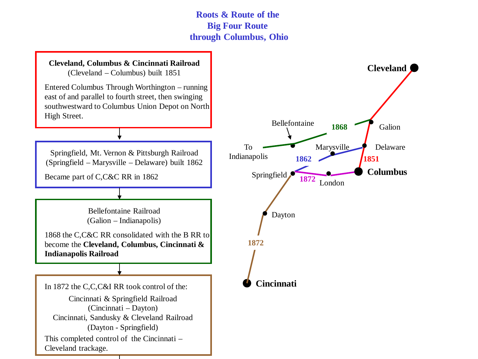**Roots & Route of the Big Four Route through Columbus, Ohio**